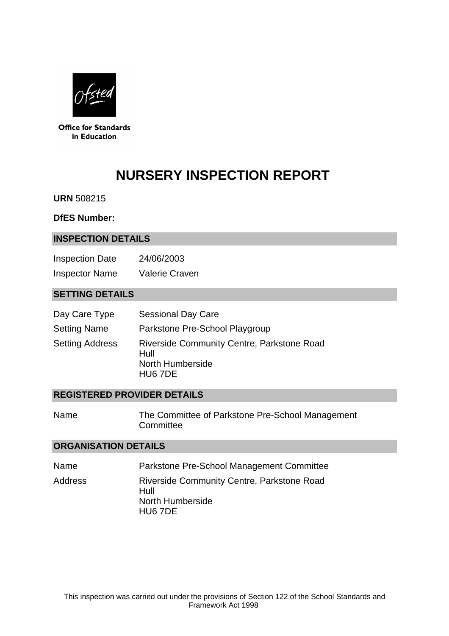

**Office for Standards** in Education

# **NURSERY INSPECTION REPORT**

**URN** 508215

#### **DfES Number:**

#### **INSPECTION DETAILS**

| <b>Inspection Date</b> | 24/06/2003            |
|------------------------|-----------------------|
| <b>Inspector Name</b>  | <b>Valerie Craven</b> |

## **SETTING DETAILS**

| Day Care Type          | <b>Sessional Day Care</b>                                                                |
|------------------------|------------------------------------------------------------------------------------------|
| <b>Setting Name</b>    | Parkstone Pre-School Playgroup                                                           |
| <b>Setting Address</b> | <b>Riverside Community Centre, Parkstone Road</b><br>Hull<br>North Humberside<br>HU6 7DE |

## **REGISTERED PROVIDER DETAILS**

| Name | The Committee of Parkstone Pre-School Management |
|------|--------------------------------------------------|
|      | Committee                                        |

# **ORGANISATION DETAILS**

| Name    | Parkstone Pre-School Management Committee                                                |
|---------|------------------------------------------------------------------------------------------|
| Address | <b>Riverside Community Centre, Parkstone Road</b><br>Hull<br>North Humberside<br>HU6 7DE |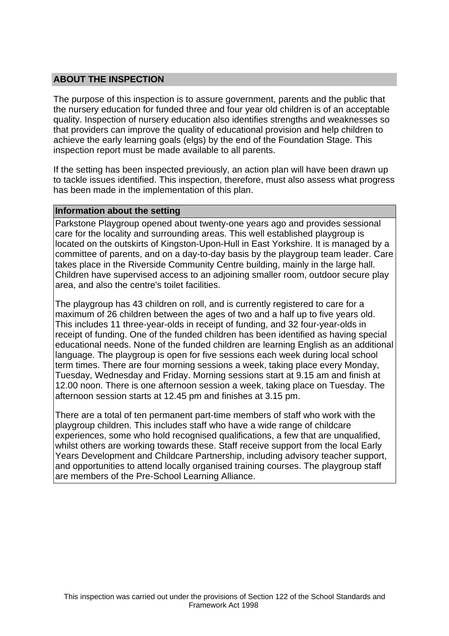## **ABOUT THE INSPECTION**

The purpose of this inspection is to assure government, parents and the public that the nursery education for funded three and four year old children is of an acceptable quality. Inspection of nursery education also identifies strengths and weaknesses so that providers can improve the quality of educational provision and help children to achieve the early learning goals (elgs) by the end of the Foundation Stage. This inspection report must be made available to all parents.

If the setting has been inspected previously, an action plan will have been drawn up to tackle issues identified. This inspection, therefore, must also assess what progress has been made in the implementation of this plan.

#### **Information about the setting**

Parkstone Playgroup opened about twenty-one years ago and provides sessional care for the locality and surrounding areas. This well established playgroup is located on the outskirts of Kingston-Upon-Hull in East Yorkshire. It is managed by a committee of parents, and on a day-to-day basis by the playgroup team leader. Care takes place in the Riverside Community Centre building, mainly in the large hall. Children have supervised access to an adjoining smaller room, outdoor secure play area, and also the centre's toilet facilities.

The playgroup has 43 children on roll, and is currently registered to care for a maximum of 26 children between the ages of two and a half up to five years old. This includes 11 three-year-olds in receipt of funding, and 32 four-year-olds in receipt of funding. One of the funded children has been identified as having special educational needs. None of the funded children are learning English as an additional language. The playgroup is open for five sessions each week during local school term times. There are four morning sessions a week, taking place every Monday, Tuesday, Wednesday and Friday. Morning sessions start at 9.15 am and finish at 12.00 noon. There is one afternoon session a week, taking place on Tuesday. The afternoon session starts at 12.45 pm and finishes at 3.15 pm.

There are a total of ten permanent part-time members of staff who work with the playgroup children. This includes staff who have a wide range of childcare experiences, some who hold recognised qualifications, a few that are unqualified, whilst others are working towards these. Staff receive support from the local Early Years Development and Childcare Partnership, including advisory teacher support, and opportunities to attend locally organised training courses. The playgroup staff are members of the Pre-School Learning Alliance.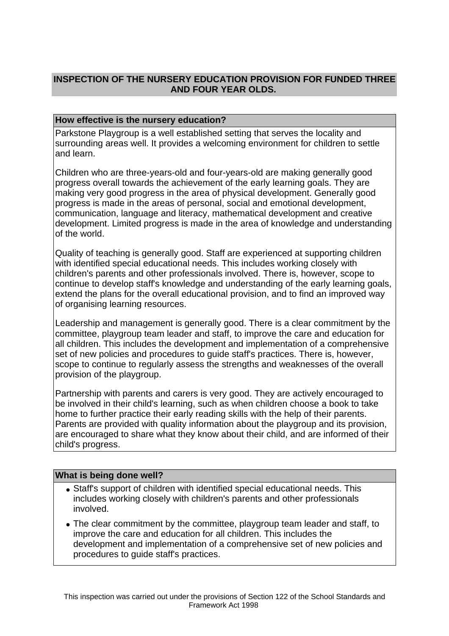# **INSPECTION OF THE NURSERY EDUCATION PROVISION FOR FUNDED THREE AND FOUR YEAR OLDS.**

## **How effective is the nursery education?**

Parkstone Playgroup is a well established setting that serves the locality and surrounding areas well. It provides a welcoming environment for children to settle and learn.

Children who are three-years-old and four-years-old are making generally good progress overall towards the achievement of the early learning goals. They are making very good progress in the area of physical development. Generally good progress is made in the areas of personal, social and emotional development, communication, language and literacy, mathematical development and creative development. Limited progress is made in the area of knowledge and understanding of the world.

Quality of teaching is generally good. Staff are experienced at supporting children with identified special educational needs. This includes working closely with children's parents and other professionals involved. There is, however, scope to continue to develop staff's knowledge and understanding of the early learning goals, extend the plans for the overall educational provision, and to find an improved way of organising learning resources.

Leadership and management is generally good. There is a clear commitment by the committee, playgroup team leader and staff, to improve the care and education for all children. This includes the development and implementation of a comprehensive set of new policies and procedures to guide staff's practices. There is, however, scope to continue to regularly assess the strengths and weaknesses of the overall provision of the playgroup.

Partnership with parents and carers is very good. They are actively encouraged to be involved in their child's learning, such as when children choose a book to take home to further practice their early reading skills with the help of their parents. Parents are provided with quality information about the playgroup and its provision, are encouraged to share what they know about their child, and are informed of their child's progress.

## **What is being done well?**

- Staff's support of children with identified special educational needs. This includes working closely with children's parents and other professionals involved.
- The clear commitment by the committee, playgroup team leader and staff, to improve the care and education for all children. This includes the development and implementation of a comprehensive set of new policies and procedures to guide staff's practices.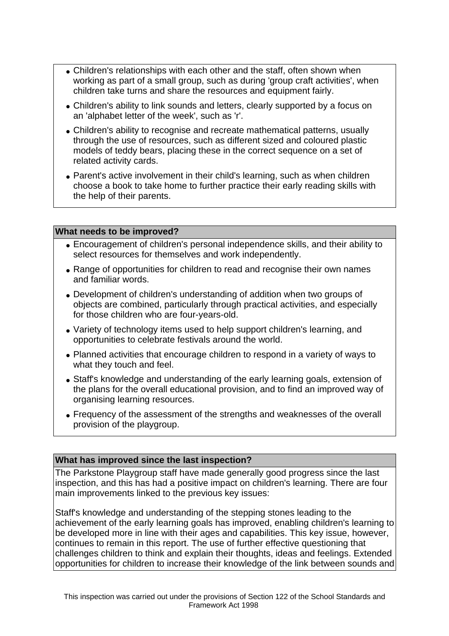- Children's relationships with each other and the staff, often shown when working as part of a small group, such as during 'group craft activities', when children take turns and share the resources and equipment fairly.
- Children's ability to link sounds and letters, clearly supported by a focus on an 'alphabet letter of the week', such as 'r'.
- Children's ability to recognise and recreate mathematical patterns, usually through the use of resources, such as different sized and coloured plastic models of teddy bears, placing these in the correct sequence on a set of related activity cards.
- Parent's active involvement in their child's learning, such as when children choose a book to take home to further practice their early reading skills with the help of their parents.

#### **What needs to be improved?**

- Encouragement of children's personal independence skills, and their ability to select resources for themselves and work independently.
- Range of opportunities for children to read and recognise their own names and familiar words.
- Development of children's understanding of addition when two groups of objects are combined, particularly through practical activities, and especially for those children who are four-years-old.
- Variety of technology items used to help support children's learning, and opportunities to celebrate festivals around the world.
- Planned activities that encourage children to respond in a variety of ways to what they touch and feel.
- Staff's knowledge and understanding of the early learning goals, extension of the plans for the overall educational provision, and to find an improved way of organising learning resources.
- Frequency of the assessment of the strengths and weaknesses of the overall provision of the playgroup.

#### **What has improved since the last inspection?**

The Parkstone Playgroup staff have made generally good progress since the last inspection, and this has had a positive impact on children's learning. There are four main improvements linked to the previous key issues:

Staff's knowledge and understanding of the stepping stones leading to the achievement of the early learning goals has improved, enabling children's learning to be developed more in line with their ages and capabilities. This key issue, however, continues to remain in this report. The use of further effective questioning that challenges children to think and explain their thoughts, ideas and feelings. Extended opportunities for children to increase their knowledge of the link between sounds and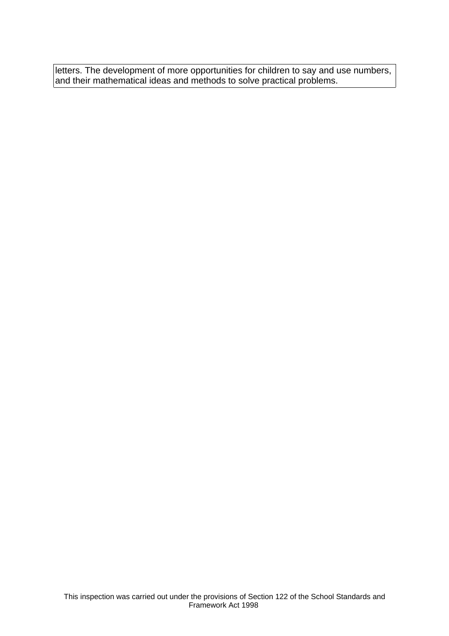letters. The development of more opportunities for children to say and use numbers, and their mathematical ideas and methods to solve practical problems.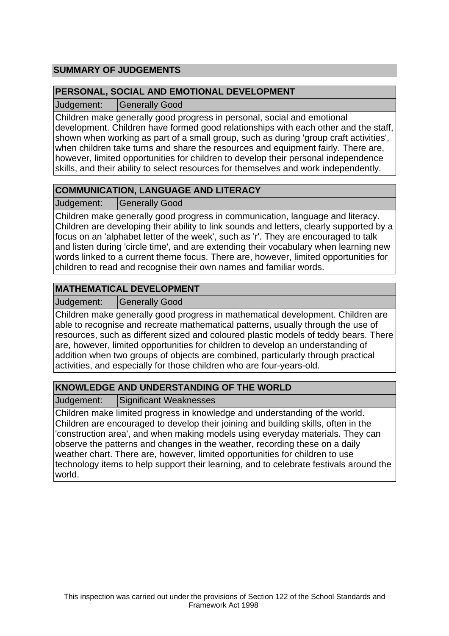# **SUMMARY OF JUDGEMENTS**

## **PERSONAL, SOCIAL AND EMOTIONAL DEVELOPMENT**

Judgement: Generally Good

Children make generally good progress in personal, social and emotional development. Children have formed good relationships with each other and the staff, shown when working as part of a small group, such as during 'group craft activities', when children take turns and share the resources and equipment fairly. There are, however, limited opportunities for children to develop their personal independence skills, and their ability to select resources for themselves and work independently.

# **COMMUNICATION, LANGUAGE AND LITERACY**

Judgement: Generally Good

Children make generally good progress in communication, language and literacy. Children are developing their ability to link sounds and letters, clearly supported by a focus on an 'alphabet letter of the week', such as 'r'. They are encouraged to talk and listen during 'circle time', and are extending their vocabulary when learning new words linked to a current theme focus. There are, however, limited opportunities for children to read and recognise their own names and familiar words.

# **MATHEMATICAL DEVELOPMENT**

Judgement: | Generally Good

Children make generally good progress in mathematical development. Children are able to recognise and recreate mathematical patterns, usually through the use of resources, such as different sized and coloured plastic models of teddy bears. There are, however, limited opportunities for children to develop an understanding of addition when two groups of objects are combined, particularly through practical activities, and especially for those children who are four-years-old.

# **KNOWLEDGE AND UNDERSTANDING OF THE WORLD**

Judgement: Significant Weaknesses

Children make limited progress in knowledge and understanding of the world. Children are encouraged to develop their joining and building skills, often in the 'construction area', and when making models using everyday materials. They can observe the patterns and changes in the weather, recording these on a daily weather chart. There are, however, limited opportunities for children to use technology items to help support their learning, and to celebrate festivals around the world.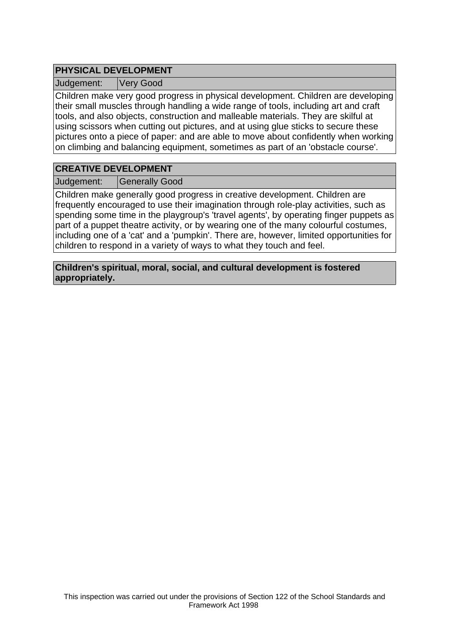# **PHYSICAL DEVELOPMENT**

Judgement: Very Good

Children make very good progress in physical development. Children are developing their small muscles through handling a wide range of tools, including art and craft tools, and also objects, construction and malleable materials. They are skilful at using scissors when cutting out pictures, and at using glue sticks to secure these pictures onto a piece of paper: and are able to move about confidently when working on climbing and balancing equipment, sometimes as part of an 'obstacle course'.

# **CREATIVE DEVELOPMENT**

Judgement: | Generally Good

Children make generally good progress in creative development. Children are frequently encouraged to use their imagination through role-play activities, such as spending some time in the playgroup's 'travel agents', by operating finger puppets as part of a puppet theatre activity, or by wearing one of the many colourful costumes, including one of a 'cat' and a 'pumpkin'. There are, however, limited opportunities for children to respond in a variety of ways to what they touch and feel.

**Children's spiritual, moral, social, and cultural development is fostered appropriately.**